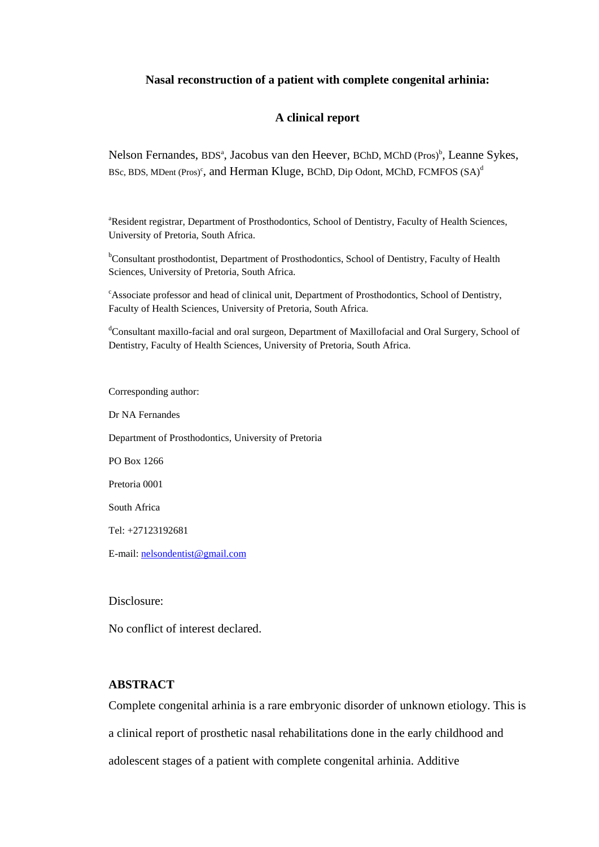# **Nasal reconstruction of a patient with complete congenital arhinia:**

### **A clinical report**

Nelson Fernandes, BDS<sup>a</sup>, Jacobus van den Heever, BChD, MChD (Pros)<sup>b</sup>, Leanne Sykes, BSc, BDS, MDent (Pros)<sup>c</sup>, and Herman Kluge, BChD, Dip Odont, MChD, FCMFOS  $(SA)^d$ 

<sup>a</sup>Resident registrar, Department of Prosthodontics, School of Dentistry, Faculty of Health Sciences, University of Pretoria, South Africa.

<sup>b</sup>Consultant prosthodontist, Department of Prosthodontics, School of Dentistry, Faculty of Health Sciences, University of Pretoria, South Africa.

<sup>c</sup>Associate professor and head of clinical unit, Department of Prosthodontics, School of Dentistry, Faculty of Health Sciences, University of Pretoria, South Africa.

dConsultant maxillo-facial and oral surgeon, Department of Maxillofacial and Oral Surgery, School of Dentistry, Faculty of Health Sciences, University of Pretoria, South Africa.

Corresponding author:

Dr NA Fernandes

Department of Prosthodontics, University of Pretoria

PO Box 1266

Pretoria 0001

South Africa

Tel: +27123192681

E-mail: [nelsondentist@gmail.com](mailto:nelsondentist@gmail.com)

Disclosure:

No conflict of interest declared.

# **ABSTRACT**

Complete congenital arhinia is a rare embryonic disorder of unknown etiology. This is a clinical report of prosthetic nasal rehabilitations done in the early childhood and adolescent stages of a patient with complete congenital arhinia. Additive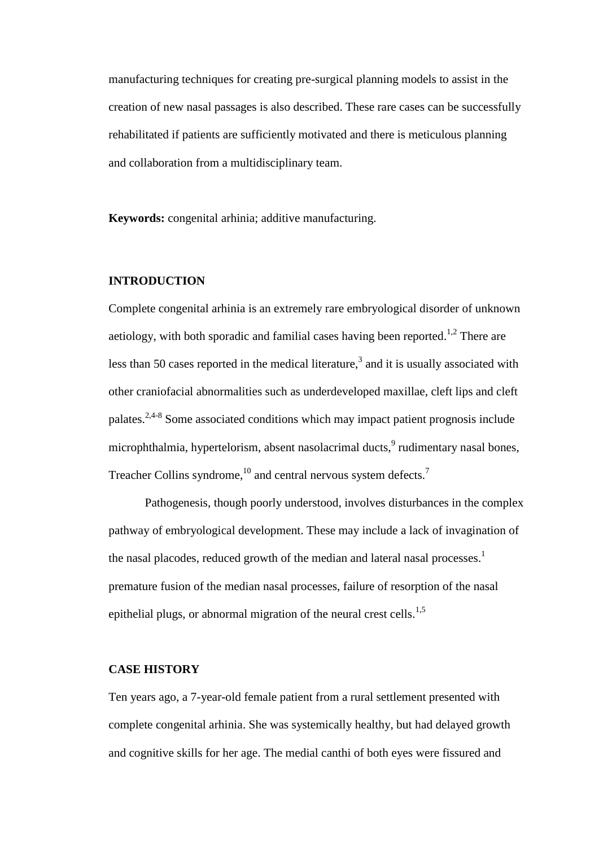manufacturing techniques for creating pre-surgical planning models to assist in the creation of new nasal passages is also described. These rare cases can be successfully rehabilitated if patients are sufficiently motivated and there is meticulous planning and collaboration from a multidisciplinary team.

**Keywords:** congenital arhinia; additive manufacturing.

# **INTRODUCTION**

Complete congenital arhinia is an extremely rare embryological disorder of unknown aetiology, with both sporadic and familial cases having been reported.<sup>1,2</sup> There are less than 50 cases reported in the medical literature,<sup>3</sup> and it is usually associated with other craniofacial abnormalities such as underdeveloped maxillae, cleft lips and cleft palates.<sup>2,4-8</sup> Some associated conditions which may impact patient prognosis include microphthalmia, hypertelorism, absent nasolacrimal ducts,<sup>9</sup> rudimentary nasal bones, Treacher Collins syndrome,<sup>10</sup> and central nervous system defects.<sup>7</sup>

Pathogenesis, though poorly understood, involves disturbances in the complex pathway of embryological development. These may include a lack of invagination of the nasal placodes, reduced growth of the median and lateral nasal processes.<sup>1</sup> premature fusion of the median nasal processes, failure of resorption of the nasal epithelial plugs, or abnormal migration of the neural crest cells.<sup>1,5</sup>

# **CASE HISTORY**

Ten years ago, a 7-year-old female patient from a rural settlement presented with complete congenital arhinia. She was systemically healthy, but had delayed growth and cognitive skills for her age. The medial canthi of both eyes were fissured and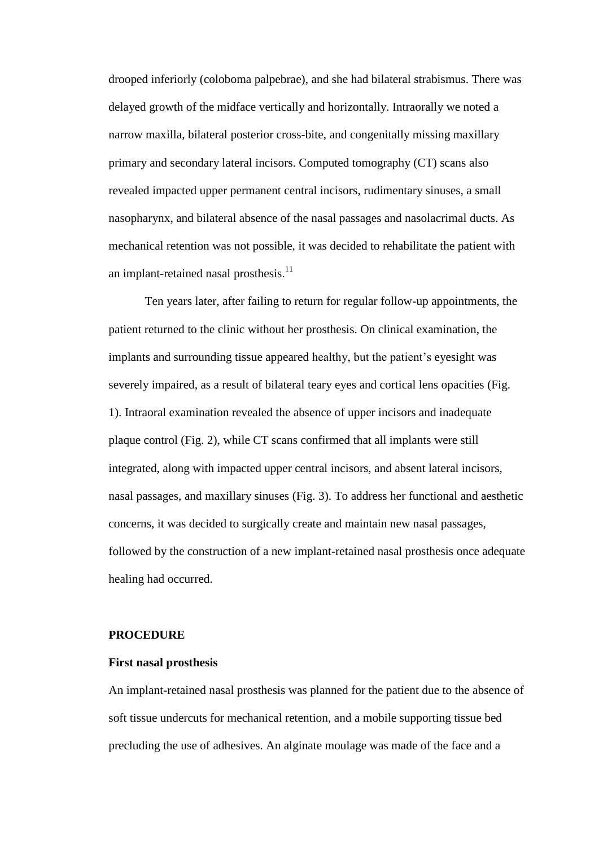drooped inferiorly (coloboma palpebrae), and she had bilateral strabismus. There was delayed growth of the midface vertically and horizontally. Intraorally we noted a narrow maxilla, bilateral posterior cross-bite, and congenitally missing maxillary primary and secondary lateral incisors. Computed tomography (CT) scans also revealed impacted upper permanent central incisors, rudimentary sinuses, a small nasopharynx, and bilateral absence of the nasal passages and nasolacrimal ducts. As mechanical retention was not possible, it was decided to rehabilitate the patient with an implant-retained nasal prosthesis.<sup>11</sup>

Ten years later, after failing to return for regular follow-up appointments, the patient returned to the clinic without her prosthesis. On clinical examination, the implants and surrounding tissue appeared healthy, but the patient's eyesight was severely impaired, as a result of bilateral teary eyes and cortical lens opacities (Fig. 1). Intraoral examination revealed the absence of upper incisors and inadequate plaque control (Fig. 2), while CT scans confirmed that all implants were still integrated, along with impacted upper central incisors, and absent lateral incisors, nasal passages, and maxillary sinuses (Fig. 3). To address her functional and aesthetic concerns, it was decided to surgically create and maintain new nasal passages, followed by the construction of a new implant-retained nasal prosthesis once adequate healing had occurred.

### **PROCEDURE**

#### **First nasal prosthesis**

An implant-retained nasal prosthesis was planned for the patient due to the absence of soft tissue undercuts for mechanical retention, and a mobile supporting tissue bed precluding the use of adhesives. An alginate moulage was made of the face and a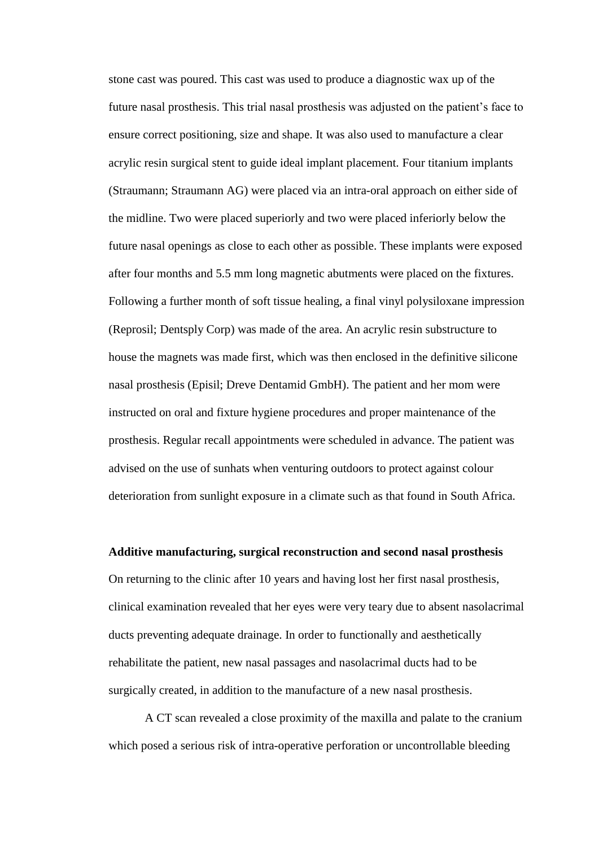stone cast was poured. This cast was used to produce a diagnostic wax up of the future nasal prosthesis. This trial nasal prosthesis was adjusted on the patient's face to ensure correct positioning, size and shape. It was also used to manufacture a clear acrylic resin surgical stent to guide ideal implant placement. Four titanium implants (Straumann; Straumann AG) were placed via an intra-oral approach on either side of the midline. Two were placed superiorly and two were placed inferiorly below the future nasal openings as close to each other as possible. These implants were exposed after four months and 5.5 mm long magnetic abutments were placed on the fixtures. Following a further month of soft tissue healing, a final vinyl polysiloxane impression (Reprosil; Dentsply Corp) was made of the area. An acrylic resin substructure to house the magnets was made first, which was then enclosed in the definitive silicone nasal prosthesis (Episil; Dreve Dentamid GmbH). The patient and her mom were instructed on oral and fixture hygiene procedures and proper maintenance of the prosthesis. Regular recall appointments were scheduled in advance. The patient was advised on the use of sunhats when venturing outdoors to protect against colour deterioration from sunlight exposure in a climate such as that found in South Africa.

#### **Additive manufacturing, surgical reconstruction and second nasal prosthesis**

On returning to the clinic after 10 years and having lost her first nasal prosthesis, clinical examination revealed that her eyes were very teary due to absent nasolacrimal ducts preventing adequate drainage. In order to functionally and aesthetically rehabilitate the patient, new nasal passages and nasolacrimal ducts had to be surgically created, in addition to the manufacture of a new nasal prosthesis.

A CT scan revealed a close proximity of the maxilla and palate to the cranium which posed a serious risk of intra-operative perforation or uncontrollable bleeding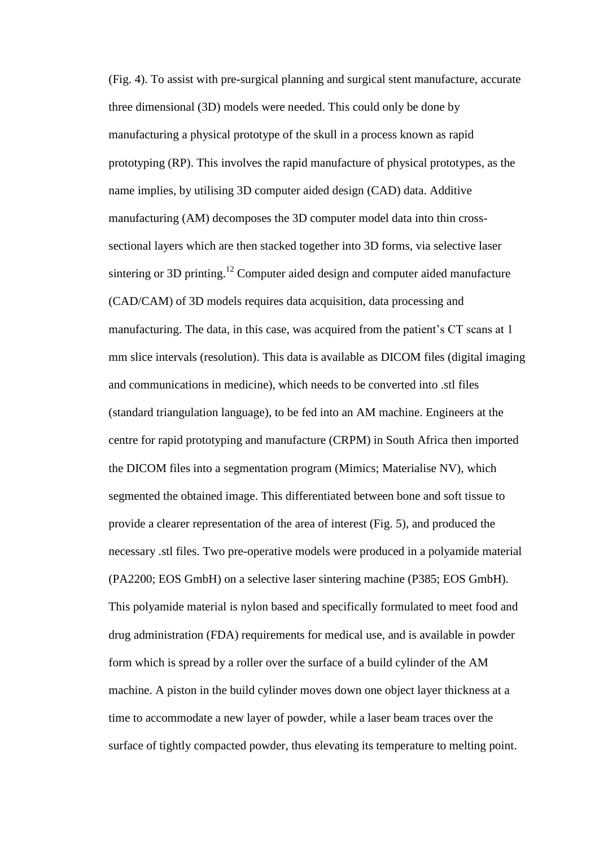(Fig. 4). To assist with pre-surgical planning and surgical stent manufacture, accurate three dimensional (3D) models were needed. This could only be done by manufacturing a physical prototype of the skull in a process known as rapid prototyping (RP). This involves the rapid manufacture of physical prototypes, as the name implies, by utilising 3D computer aided design (CAD) data. Additive manufacturing (AM) decomposes the 3D computer model data into thin crosssectional layers which are then stacked together into 3D forms, via selective laser sintering or 3D printing.<sup>12</sup> Computer aided design and computer aided manufacture (CAD/CAM) of 3D models requires data acquisition, data processing and manufacturing. The data, in this case, was acquired from the patient's CT scans at 1 mm slice intervals (resolution). This data is available as DICOM files (digital imaging and communications in medicine), which needs to be converted into .stl files (standard triangulation language), to be fed into an AM machine. Engineers at the centre for rapid prototyping and manufacture (CRPM) in South Africa then imported the DICOM files into a segmentation program (Mimics; Materialise NV), which segmented the obtained image. This differentiated between bone and soft tissue to provide a clearer representation of the area of interest (Fig. 5), and produced the necessary .stl files. Two pre-operative models were produced in a polyamide material (PA2200; EOS GmbH) on a selective laser sintering machine (P385; EOS GmbH). This polyamide material is nylon based and specifically formulated to meet food and drug administration (FDA) requirements for medical use, and is available in powder form which is spread by a roller over the surface of a build cylinder of the AM machine. A piston in the build cylinder moves down one object layer thickness at a time to accommodate a new layer of powder, while a laser beam traces over the surface of tightly compacted powder, thus elevating its temperature to melting point.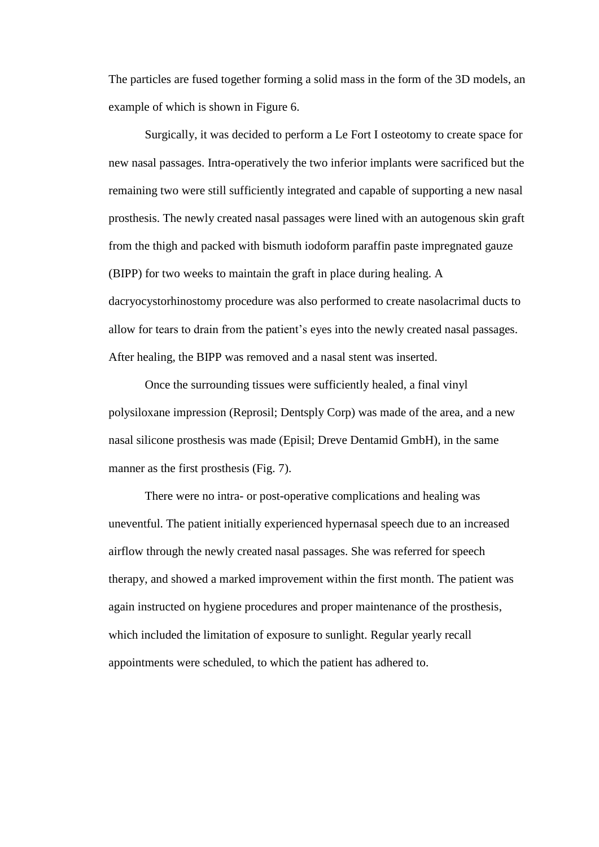The particles are fused together forming a solid mass in the form of the 3D models, an example of which is shown in Figure 6.

Surgically, it was decided to perform a Le Fort I osteotomy to create space for new nasal passages. Intra-operatively the two inferior implants were sacrificed but the remaining two were still sufficiently integrated and capable of supporting a new nasal prosthesis. The newly created nasal passages were lined with an autogenous skin graft from the thigh and packed with bismuth iodoform paraffin paste impregnated gauze (BIPP) for two weeks to maintain the graft in place during healing. A dacryocystorhinostomy procedure was also performed to create nasolacrimal ducts to allow for tears to drain from the patient's eyes into the newly created nasal passages. After healing, the BIPP was removed and a nasal stent was inserted.

Once the surrounding tissues were sufficiently healed, a final vinyl polysiloxane impression (Reprosil; Dentsply Corp) was made of the area, and a new nasal silicone prosthesis was made (Episil; Dreve Dentamid GmbH), in the same manner as the first prosthesis (Fig. 7).

There were no intra- or post-operative complications and healing was uneventful. The patient initially experienced hypernasal speech due to an increased airflow through the newly created nasal passages. She was referred for speech therapy, and showed a marked improvement within the first month. The patient was again instructed on hygiene procedures and proper maintenance of the prosthesis, which included the limitation of exposure to sunlight. Regular yearly recall appointments were scheduled, to which the patient has adhered to.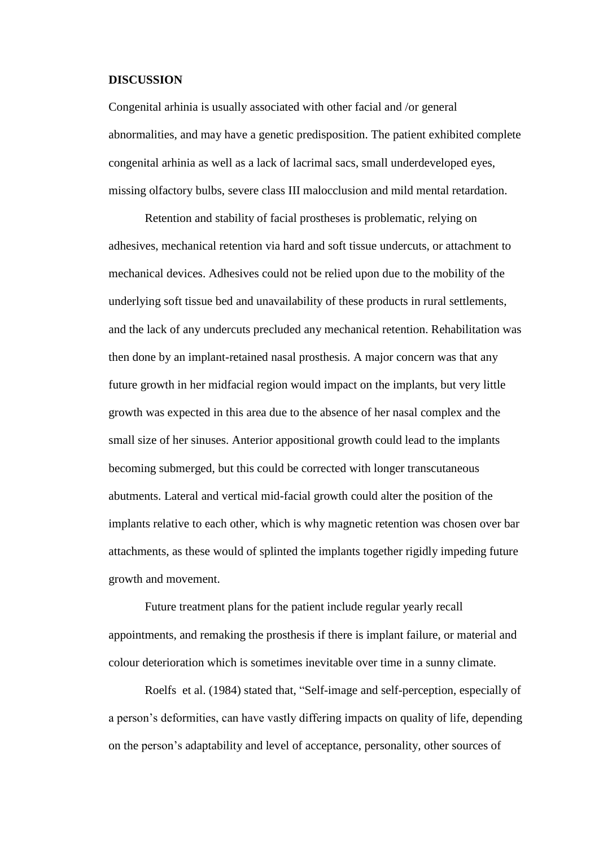### **DISCUSSION**

Congenital arhinia is usually associated with other facial and /or general abnormalities, and may have a genetic predisposition. The patient exhibited complete congenital arhinia as well as a lack of lacrimal sacs, small underdeveloped eyes, missing olfactory bulbs, severe class III malocclusion and mild mental retardation.

Retention and stability of facial prostheses is problematic, relying on adhesives, mechanical retention via hard and soft tissue undercuts, or attachment to mechanical devices. Adhesives could not be relied upon due to the mobility of the underlying soft tissue bed and unavailability of these products in rural settlements, and the lack of any undercuts precluded any mechanical retention. Rehabilitation was then done by an implant-retained nasal prosthesis. A major concern was that any future growth in her midfacial region would impact on the implants, but very little growth was expected in this area due to the absence of her nasal complex and the small size of her sinuses. Anterior appositional growth could lead to the implants becoming submerged, but this could be corrected with longer transcutaneous abutments. Lateral and vertical mid-facial growth could alter the position of the implants relative to each other, which is why magnetic retention was chosen over bar attachments, as these would of splinted the implants together rigidly impeding future growth and movement.

Future treatment plans for the patient include regular yearly recall appointments, and remaking the prosthesis if there is implant failure, or material and colour deterioration which is sometimes inevitable over time in a sunny climate.

Roelfs et al. (1984) stated that, "Self-image and self-perception, especially of a person's deformities, can have vastly differing impacts on quality of life, depending on the person's adaptability and level of acceptance, personality, other sources of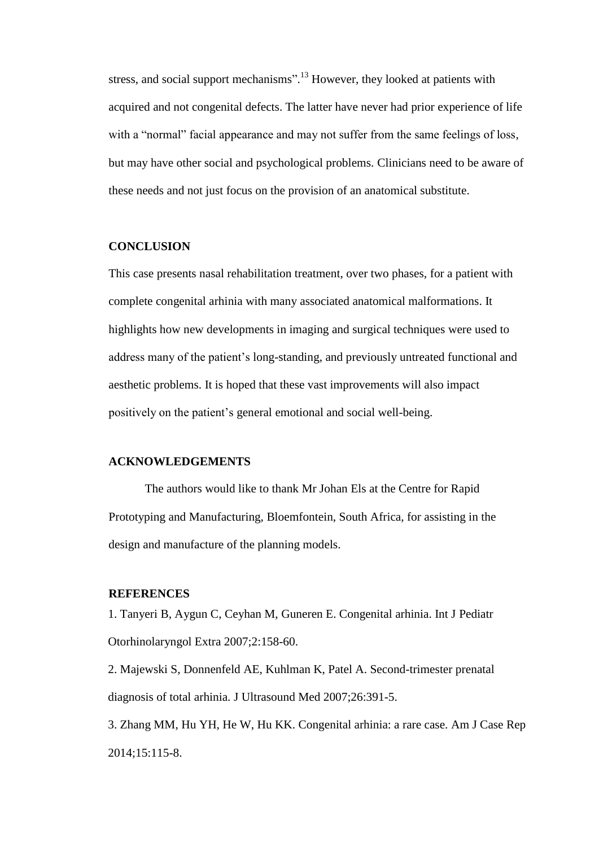stress, and social support mechanisms".<sup>13</sup> However, they looked at patients with acquired and not congenital defects. The latter have never had prior experience of life with a "normal" facial appearance and may not suffer from the same feelings of loss, but may have other social and psychological problems. Clinicians need to be aware of these needs and not just focus on the provision of an anatomical substitute.

### **CONCLUSION**

This case presents nasal rehabilitation treatment, over two phases, for a patient with complete congenital arhinia with many associated anatomical malformations. It highlights how new developments in imaging and surgical techniques were used to address many of the patient's long-standing, and previously untreated functional and aesthetic problems. It is hoped that these vast improvements will also impact positively on the patient's general emotional and social well-being.

# **ACKNOWLEDGEMENTS**

The authors would like to thank Mr Johan Els at the Centre for Rapid Prototyping and Manufacturing, Bloemfontein, South Africa, for assisting in the design and manufacture of the planning models.

### **REFERENCES**

1. Tanyeri B, Aygun C, Ceyhan M, Guneren E. Congenital arhinia. Int J Pediatr Otorhinolaryngol Extra 2007;2:158-60.

2. Majewski S, Donnenfeld AE, Kuhlman K, Patel A. Second-trimester prenatal diagnosis of total arhinia. J Ultrasound Med 2007;26:391-5.

3. Zhang MM, Hu YH, He W, Hu KK. Congenital arhinia: a rare case. Am J Case Rep 2014;15:115-8.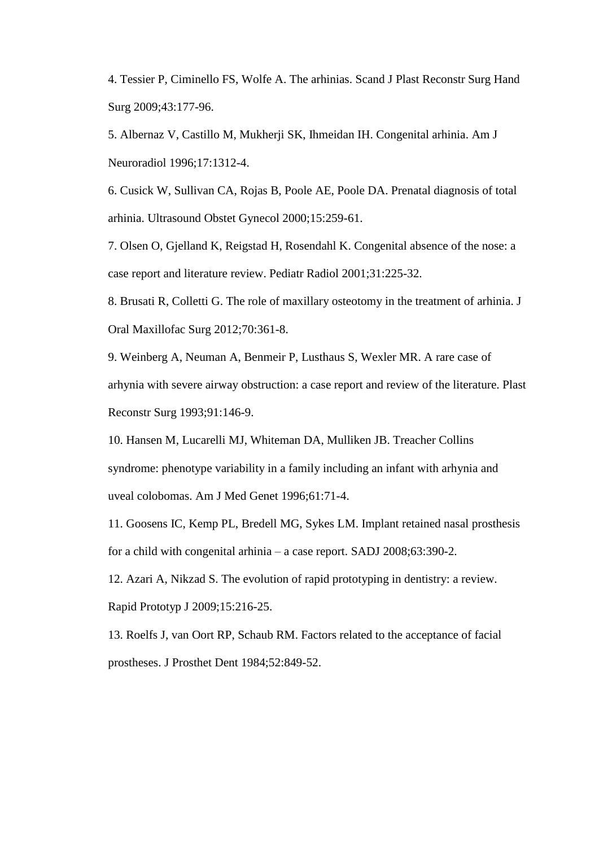4. Tessier P, Ciminello FS, Wolfe A. The arhinias. Scand J Plast Reconstr Surg Hand Surg 2009;43:177-96.

5. Albernaz V, Castillo M, Mukherji SK, Ihmeidan IH. Congenital arhinia. Am J Neuroradiol 1996;17:1312-4.

6. Cusick W, Sullivan CA, Rojas B, Poole AE, Poole DA. Prenatal diagnosis of total arhinia. Ultrasound Obstet Gynecol 2000;15:259-61.

7. Olsen O, Gjelland K, Reigstad H, Rosendahl K. Congenital absence of the nose: a case report and literature review. Pediatr Radiol 2001;31:225-32.

8. Brusati R, Colletti G. The role of maxillary osteotomy in the treatment of arhinia. J Oral Maxillofac Surg 2012;70:361-8.

9. Weinberg A, Neuman A, Benmeir P, Lusthaus S, Wexler MR. A rare case of arhynia with severe airway obstruction: a case report and review of the literature. Plast Reconstr Surg 1993;91:146-9.

10. Hansen M, Lucarelli MJ, Whiteman DA, Mulliken JB. Treacher Collins syndrome: phenotype variability in a family including an infant with arhynia and uveal colobomas. Am J Med Genet 1996;61:71-4.

11. Goosens IC, Kemp PL, Bredell MG, Sykes LM. Implant retained nasal prosthesis for a child with congenital arhinia – a case report. SADJ 2008;63:390-2.

12. Azari A, Nikzad S. The evolution of rapid prototyping in dentistry: a review. Rapid Prototyp J 2009;15:216-25.

13. Roelfs J, van Oort RP, Schaub RM. Factors related to the acceptance of facial prostheses. J Prosthet Dent 1984;52:849-52.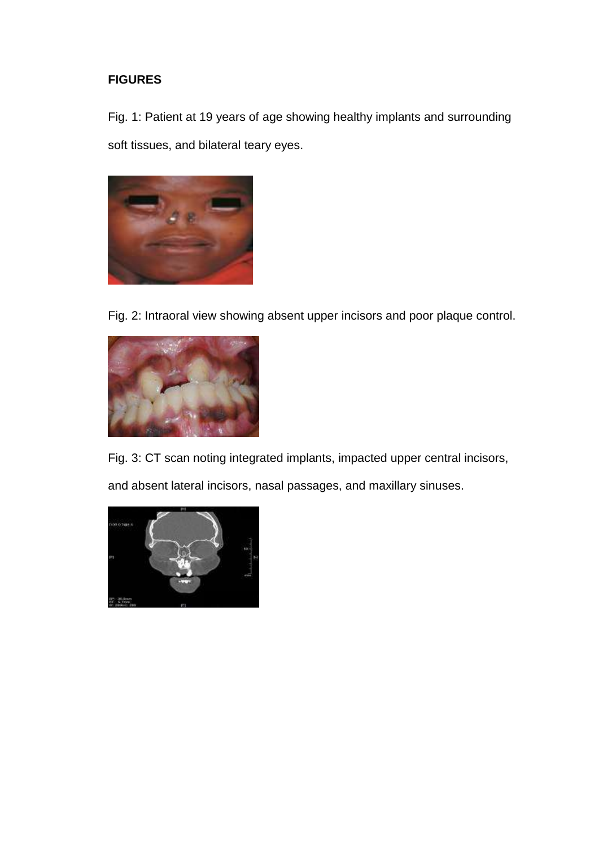# **FIGURES**

Fig. 1: Patient at 19 years of age showing healthy implants and surrounding soft tissues, and bilateral teary eyes.



Fig. 2: Intraoral view showing absent upper incisors and poor plaque control.



Fig. 3: CT scan noting integrated implants, impacted upper central incisors, and absent lateral incisors, nasal passages, and maxillary sinuses.